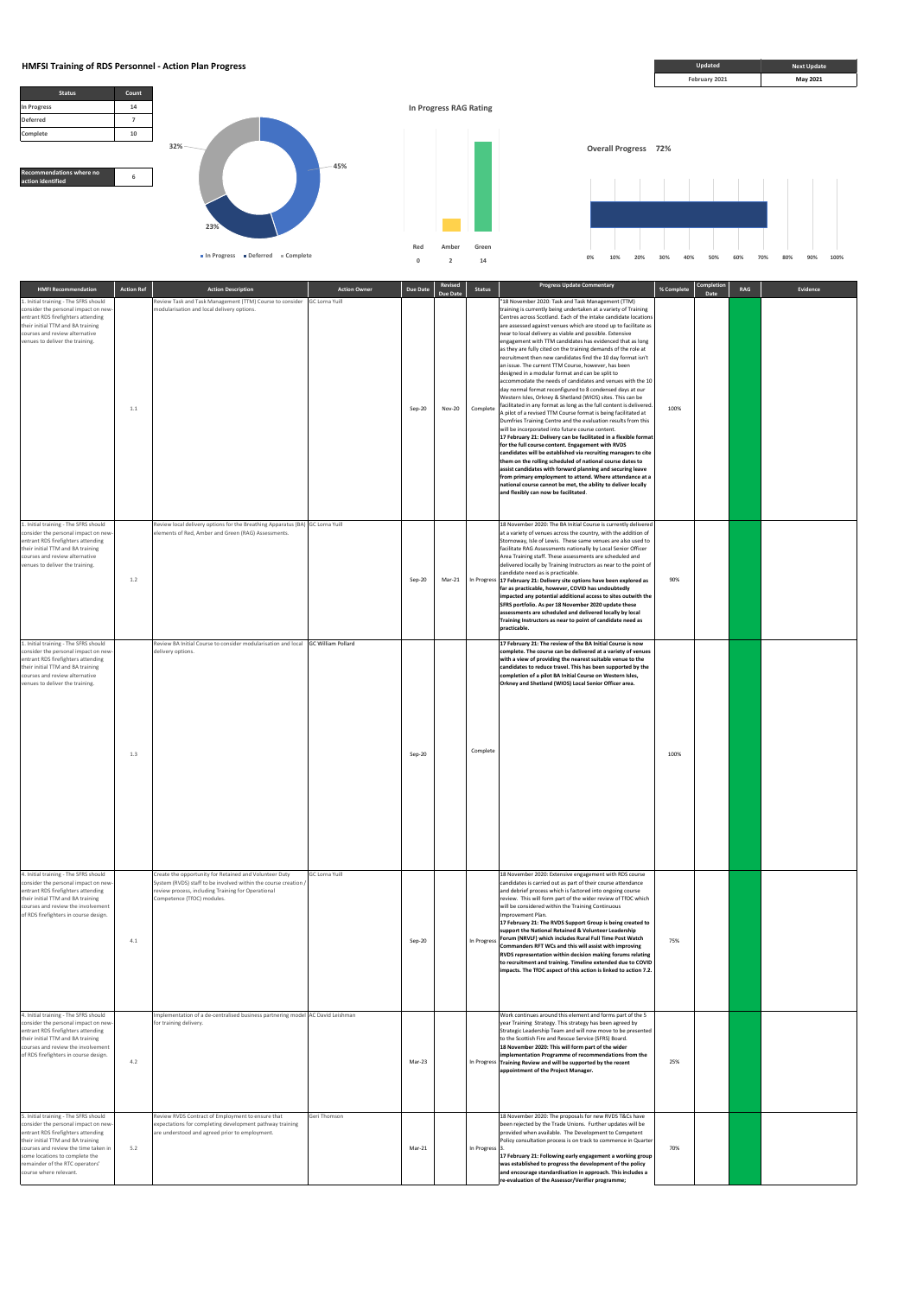**Overall Progress 72%**

**Red Amber Green 0 2 14**





| <b>HMFI Recommendation</b>                                                                                                                                                                                                             | <b>Action Ref</b> | <b>Action Description</b>                                                                                                                                                                                     | <b>Action Owner</b>       | Due Date | Revised<br><b>Due Date</b> | <b>Status</b> | <b>Progress Update Commentary</b>                                                                                                                                                                                                                                                                                                                                                                                                                                                                                                                                                                                                                                                                                                                                                                                                                                                                                                                                                                                                                                                                                                                                                                                                                                                                                                                                                                                                                                                                                                                                                  | % Complete | Completion<br>Date | RAG | Evidence |
|----------------------------------------------------------------------------------------------------------------------------------------------------------------------------------------------------------------------------------------|-------------------|---------------------------------------------------------------------------------------------------------------------------------------------------------------------------------------------------------------|---------------------------|----------|----------------------------|---------------|------------------------------------------------------------------------------------------------------------------------------------------------------------------------------------------------------------------------------------------------------------------------------------------------------------------------------------------------------------------------------------------------------------------------------------------------------------------------------------------------------------------------------------------------------------------------------------------------------------------------------------------------------------------------------------------------------------------------------------------------------------------------------------------------------------------------------------------------------------------------------------------------------------------------------------------------------------------------------------------------------------------------------------------------------------------------------------------------------------------------------------------------------------------------------------------------------------------------------------------------------------------------------------------------------------------------------------------------------------------------------------------------------------------------------------------------------------------------------------------------------------------------------------------------------------------------------------|------------|--------------------|-----|----------|
| 1. Initial training - The SFRS should<br>consider the personal impact on new-<br>entrant RDS firefighters attending<br>their initial TTM and BA training<br>courses and review alternative<br>venues to deliver the training.          | 1.1               | Review Task and Task Management (TTM) Course to consider<br>modularisation and local delivery options.                                                                                                        | <b>GC Lorna Yuill</b>     | Sep-20   | <b>Nov-20</b>              | Complete      | "18 November 2020: Task and Task Management (TTM)<br>training is currently being undertaken at a variety of Training<br>Centres across Scotland. Each of the intake candidate locations<br>are assessed against venues which are stood up to facilitate as<br>near to local delivery as viable and possible. Extensive<br>engagement with TTM candidates has evidenced that as long<br>as they are fully cited on the training demands of the role at<br>recruitment then new candidates find the 10 day format isn't<br>an issue. The current TTM Course, however, has been<br>designed in a modular format and can be split to<br>accommodate the needs of candidates and venues with the 10<br>day normal format reconfigured to 8 condensed days at our<br>Western Isles, Orkney & Shetland (WIOS) sites. This can be<br>facilitated in any format as long as the full content is delivered.<br>A pilot of a revised TTM Course format is being facilitated at<br>Dumfries Training Centre and the evaluation results from this<br>will be incorporated into future course content.<br>17 February 21: Delivery can be facilitated in a flexible format<br>for the full course content. Engagement with RVDS<br>candidates will be established via recruiting managers to cite<br>them on the rolling scheduled of national course dates to<br>assist candidates with forward planning and securing leave<br>from primary employment to attend. Where attendance at a<br>national course cannot be met, the ability to deliver locally<br>and flexibly can now be facilitated. | 100%       |                    |     |          |
| 1. Initial training - The SFRS should<br>consider the personal impact on new-<br>entrant RDS firefighters attending<br>their initial TTM and BA training<br>courses and review alternative<br>venues to deliver the training.          | 1.2               | Review local delivery options for the Breathing Apparatus (BA) GC Lorna Yuill<br>elements of Red, Amber and Green (RAG) Assessments.                                                                          |                           | Sep-20   | Mar-21                     |               | 18 November 2020: The BA Initial Course is currently delivered<br>at a variety of venues across the country, with the addition of<br>Stornoway, Isle of Lewis. These same venues are also used to<br>facilitate RAG Assessments nationally by Local Senior Officer<br>Area Training staff. These assessments are scheduled and<br>delivered locally by Training Instructors as near to the point of<br>candidate need as is practicable.<br>In Progress 17 February 21: Delivery site options have been explored as<br>far as practicable, however, COVID has undoubtedly<br>impacted any potential additional access to sites outwith the<br>SFRS portfolio. As per 18 November 2020 update these<br>assessments are scheduled and delivered locally by local<br>Training Instructors as near to point of candidate need as<br>practicable.                                                                                                                                                                                                                                                                                                                                                                                                                                                                                                                                                                                                                                                                                                                                       | 90%        |                    |     |          |
| 1. Initial training - The SFRS should<br>consider the personal impact on new-<br>entrant RDS firefighters attending<br>their initial TTM and BA training<br>courses and review alternative<br>venues to deliver the training.          | 1.3               | Review BA Initial Course to consider modularisation and local<br>delivery options.                                                                                                                            | <b>GC William Pollard</b> | Sep-20   |                            | Complete      | 17 February 21: The review of the BA Initial Course is now<br>complete. The course can be delivered at a variety of venues<br>with a view of providing the nearest suitable venue to the<br>candidates to reduce travel. This has been supported by the<br>completion of a pilot BA Initial Course on Western Isles,<br>Orkney and Shetland (WIOS) Local Senior Officer area.                                                                                                                                                                                                                                                                                                                                                                                                                                                                                                                                                                                                                                                                                                                                                                                                                                                                                                                                                                                                                                                                                                                                                                                                      | 100%       |                    |     |          |
| 4. Initial training - The SFRS should<br>consider the personal impact on new<br>entrant RDS firefighters attending<br>their initial TTM and BA training<br>courses and review the involvement<br>of RDS firefighters in course design. | 4.1               | Create the opportunity for Retained and Volunteer Duty<br>System (RVDS) staff to be involved within the course creation /<br>review process, including Training for Operational<br>Competence (TfOC) modules. | GC Lorna Yuill            | Sep-20   |                            |               | 18 November 2020: Extensive engagement with RDS course<br>candidates is carried out as part of their course attendance<br>and debrief process which is factored into ongoing course<br>review. This will form part of the wider review of TfOC which<br>will be considered within the Training Continuous<br>Improvement Plan.<br>17 February 21: The RVDS Support Group is being created to<br>support the National Retained & Volunteer Leadership<br>In Progress Forum (NRVLF) which includes Rural Full Time Post Watch<br>Commanders RFT WCs and this will assist with improving<br>RVDS representation within decision making forums relating<br>to recruitment and training. Timeline extended due to COVID<br>impacts. The TfOC aspect of this action is linked to action 7.2.                                                                                                                                                                                                                                                                                                                                                                                                                                                                                                                                                                                                                                                                                                                                                                                             | 75%        |                    |     |          |

|                                                                                                                                                                                                                                                                                                 |     |                                                                                                                                                                 |              |        |                            | impacts. The TfOC aspect of this action is linked to action 7.2.                                                                                                                                                                                                                                                                                                                                                                                                                              |     |  |  |
|-------------------------------------------------------------------------------------------------------------------------------------------------------------------------------------------------------------------------------------------------------------------------------------------------|-----|-----------------------------------------------------------------------------------------------------------------------------------------------------------------|--------------|--------|----------------------------|-----------------------------------------------------------------------------------------------------------------------------------------------------------------------------------------------------------------------------------------------------------------------------------------------------------------------------------------------------------------------------------------------------------------------------------------------------------------------------------------------|-----|--|--|
| 4. Initial training - The SFRS should<br>consider the personal impact on new-<br>entrant RDS firefighters attending<br>their initial TTM and BA training<br>courses and review the involvement<br>of RDS firefighters in course design.                                                         | 4.2 | Implementation of a de-centralised business partnering model AC David Leishman<br>for training delivery.                                                        |              | Mar-23 |                            | Work continues around this element and forms part of the 5<br>year Training Strategy. This strategy has been agreed by<br>Strategic Leadership Team and will now move to be presented<br>to the Scottish Fire and Rescue Service (SFRS) Board.<br>18 November 2020: This will form part of the wider<br>implementation Programme of recommendations from the<br>In Progress Training Review and will be supported by the recent<br>appointment of the Project Manager.                        | 25% |  |  |
| 5. Initial training - The SFRS should<br>consider the personal impact on new-<br>entrant RDS firefighters attending<br>their initial TTM and BA training<br>courses and review the time taken in<br>some locations to complete the<br>remainder of the RTC operators'<br>course where relevant. | 5.2 | Review RVDS Contract of Employment to ensure that<br>expectations for completing development pathway training<br>are understood and agreed prior to employment. | Geri Thomson | Mar-21 | In Progress <sub>3</sub> . | 18 November 2020: The proposals for new RVDS T&Cs have<br>been rejected by the Trade Unions. Further updates will be<br>provided when available. The Development to Competent<br>Policy consultation process is on track to commence in Quarter<br>17 February 21: Following early engagement a working group<br>was established to progress the development of the policy<br>and encourage standardisation in approach. This includes a<br>re-evaluation of the Assessor/Verifier programme; | 70% |  |  |



**HMFSI Training of RDS Personnel - Action Plan Progress <b>***Next Update* **Next Update Next Update Next Update Next Update** 

**23%**

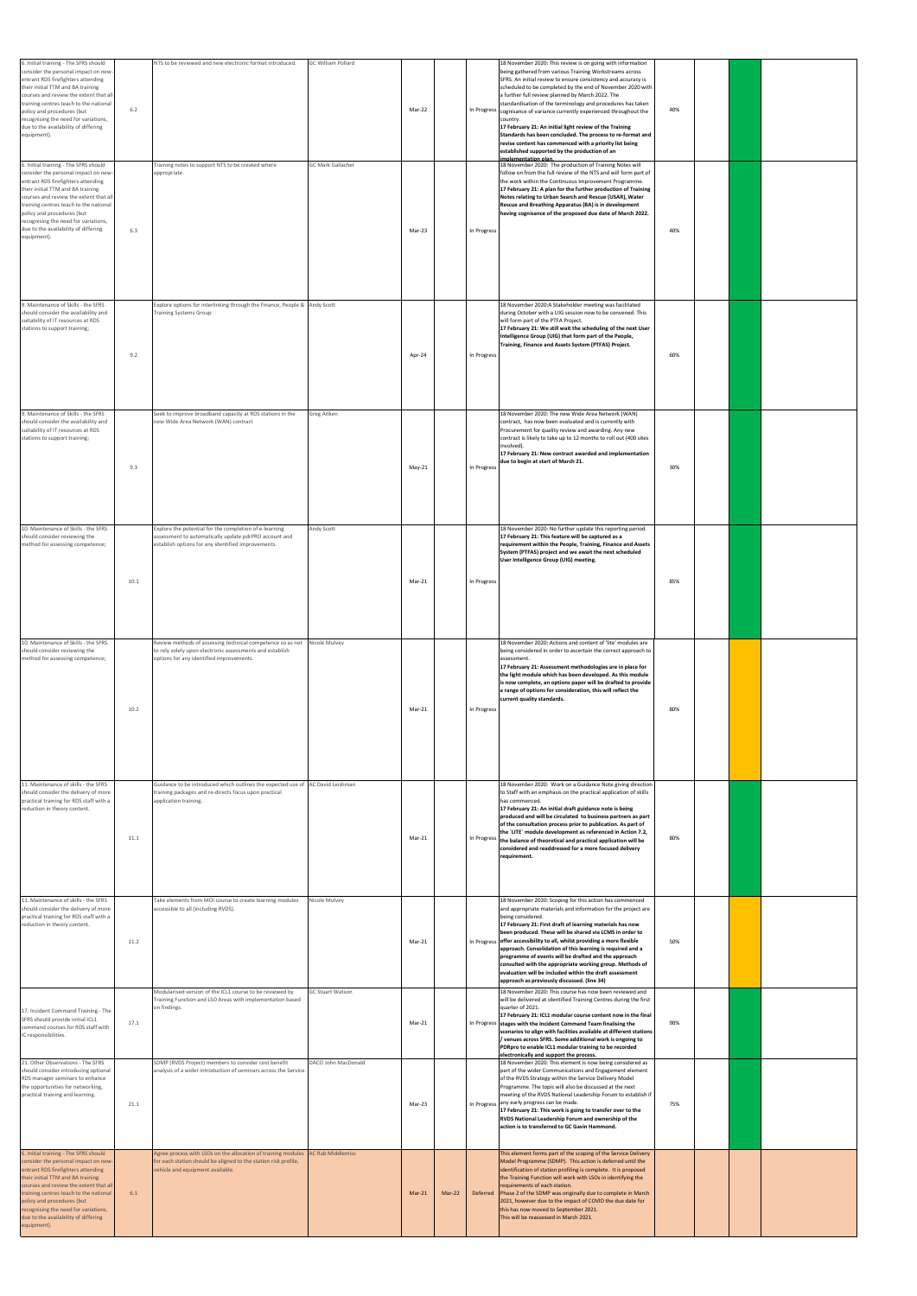| 6. Initial training - The SFRS should<br>consider the personal impact on new-<br>entrant RDS firefighters attending<br>their initial TTM and BA training<br>courses and review the extent that all<br>training centres teach to the national<br>policy and procedures (but<br>recognising the need for variations,<br>due to the availability of differing<br>equipment). | 6.2  | NTS to be reviewed and new electronic format introduced.                                                                                                              | GC William Pollard<br><b>GC Mark Gallacher</b> | Mar-22   |        |             | 18 November 2020: This review is on going with information<br>being gathered from various Training Workstreams across<br>SFRS. An initial review to ensure consistency and accuracy is<br>scheduled to be completed by the end of November 2020 with<br>a further full review planned by March 2022. The<br>standardisation of the terminology and procedures has taken<br>In Progress cognisance of variance currently experienced throughout the<br>country.<br>17 February 21: An initial light review of the Training<br>Standards has been concluded. The process to re-format and<br>revise content has commenced with a priority list being<br>established supported by the production of an<br>implementation plan. | 40% |  |  |
|---------------------------------------------------------------------------------------------------------------------------------------------------------------------------------------------------------------------------------------------------------------------------------------------------------------------------------------------------------------------------|------|-----------------------------------------------------------------------------------------------------------------------------------------------------------------------|------------------------------------------------|----------|--------|-------------|-----------------------------------------------------------------------------------------------------------------------------------------------------------------------------------------------------------------------------------------------------------------------------------------------------------------------------------------------------------------------------------------------------------------------------------------------------------------------------------------------------------------------------------------------------------------------------------------------------------------------------------------------------------------------------------------------------------------------------|-----|--|--|
| 6. Initial training - The SFRS should<br>consider the personal impact on new-<br>entrant RDS firefighters attending<br>their initial TTM and BA training<br>courses and review the extent that all<br>training centres teach to the national<br>policy and procedures (but<br>recognising the need for variations,<br>due to the availability of differing<br>equipment). | 6.3  | Training notes to support NTS to be created where<br>appropriate.                                                                                                     |                                                | Mar-23   |        | In Progress | 18 November 2020: The production of Training Notes will<br>follow on from the full review of the NTS and will form part of<br>the work within the Continuous Improvement Programme.<br>17 February 21: A plan for the further production of Training<br>Notes relating to Urban Search and Rescue (USAR), Water<br>Rescue and Breathing Apparatus (BA) is in development<br>having cognisance of the proposed due date of March 2022.                                                                                                                                                                                                                                                                                       | 40% |  |  |
| 9. Maintenance of Skills - the SFRS<br>should consider the availability and<br>suitability of IT resources at RDS<br>stations to support training;                                                                                                                                                                                                                        | 9.2  | Explore options for interlinking through the Finance, People & Andy Scott<br><b>Training Systems Group</b>                                                            |                                                | Apr-24   |        | In Progress | 18 November 2020:A Stakeholder meeting was facilitated<br>during October with a UIG session now to be convened. This<br>will form part of the PTFA Project.<br>17 February 21: We still wait the scheduling of the next User<br>Intelligence Group (UIG) that form part of the People,<br>Training, Finance and Assets System (PTFAS) Project.                                                                                                                                                                                                                                                                                                                                                                              | 60% |  |  |
| 9. Maintenance of Skills - the SFRS<br>should consider the availability and<br>suitability of IT resources at RDS<br>stations to support training;                                                                                                                                                                                                                        | 9.3  | Seek to improve broadband capacity at RDS stations in the<br>new Wide Area Network (WAN) contract                                                                     | Greg Aitken                                    | May-21   |        | In Progress | 18 November 2020: The new Wide Area Network (WAN)<br>contract, has now been evaluated and is currently with<br>Procurement for quality review and awarding. Any new<br>contract is likely to take up to 12 months to roll out (400 sites<br>involved).<br>17 February 21: New contract awarded and implementation<br>due to begin at start of March 21.                                                                                                                                                                                                                                                                                                                                                                     | 30% |  |  |
| 10. Maintenance of Skills - the SFRS<br>should consider reviewing the<br>method for assessing competence;                                                                                                                                                                                                                                                                 | 10.1 | Explore the potential for the completion of e-learning<br>assessment to automatically update pdrPRO account and<br>establish options for any identified improvements. | Andy Scott                                     | Mar-21   |        | In Progress | 18 November 2020: No further update this reporting period.<br>17 February 21: This feature will be captured as a<br>requirement within the People, Training, Finance and Assets<br>System (PTFAS) project and we await the next scheduled<br>User Intelligence Group (UIG) meeting.                                                                                                                                                                                                                                                                                                                                                                                                                                         | 85% |  |  |
| 10. Maintenance of Skills - the SFRS<br>should consider reviewing the<br>method for assessing competence;                                                                                                                                                                                                                                                                 | 10.2 | Review methods of assessing technical competence so as not<br>to rely solely upon electronic assessments and establish<br>options for any identified improvements.    | Nicole Mulvey                                  | Mar-21   |        | In Progress | 18 November 2020: Actions and content of 'lite' modules are<br>being considered in order to ascertain the correct approach to<br>assessment.<br>17 February 21: Assessment methodologies are in place for<br>the light module which has been developed. As this module<br>is now complete, an options paper will be drafted to provide<br>a range of options for consideration, this will reflect the<br>current quality standards.                                                                                                                                                                                                                                                                                         | 80% |  |  |
| 11. Maintenance of skills - the SFRS<br>should consider the delivery of more<br>practical training for RDS staff with a<br>reduction in theory content.                                                                                                                                                                                                                   | 11.1 | Guidance to be introduced which outlines the expected use of AC David Leishman<br>training packages and re-directs focus upon practical<br>application training.      |                                                | Mar-21   |        | In Progress | 18 November 2020: Work on a Guidance Note giving directior<br>to Staff with an emphasis on the practical application of skills<br>has commenced.<br>17 February 21: An initial draft guidance note is being<br>produced and will be circulated to business partners as part<br>of the consultation process prior to publication. As part of<br>the `LITE` module development as referenced in Action 7.2,<br>the balance of theoretical and practical application will be<br>considered and readdressed for a more focused delivery<br>requirement.                                                                                                                                                                         | 80% |  |  |
| 11. Maintenance of skills - the SFRS<br>should consider the delivery of more<br>practical training for RDS staff with a<br>reduction in theory content.                                                                                                                                                                                                                   | 11.2 | Take elements from MOI course to create learning modules<br>accessible to all (including RVDS).<br>Modularised version of the ICL1 course to be reviewed by           | Nicole Mulvey<br>GC Stuart Watson              | Mar-21   |        |             | 18 November 2020: Scoping for this action has commenced<br>and appropriate materials and information for the project are<br>being considered.<br>17 February 21: First draft of learning materials has now<br>been produced. These will be shared via LCMS in order to<br>In Progress offer accessibility to all, whilst providing a more flexible<br>approach. Consolidation of this learning is required and a<br>programme of events will be drafted and the approach<br>consulted with the appropriate working group. Methods of<br>evaluation will be included within the draft assessment<br>approach as previously discussed. (line 34)<br>18 November 2020: This course has now been reviewed and                   | 50% |  |  |
| 17. Incident Command Training - The<br>SFRS should provide initial ICL1<br>command courses for RDS staff with<br>IC responsibilities.                                                                                                                                                                                                                                     | 17.1 | Training Function and LSO Areas with implementation based<br>on findings.                                                                                             |                                                | Mar-21   |        |             | will be delivered at identified Training Centres during the first<br>quarter of 2021.<br>17 February 21: ICL1 modular course content now in the final<br>In Progress stages with the Incident Command Team finalising the<br>scenarios to align with facilities available at different stations<br>/ venues across SFRS. Some additional work is ongoing to<br>PDRpro to enable ICL1 modular training to be recorded<br>electronically and support the process.                                                                                                                                                                                                                                                             | 90% |  |  |
| 21. Other Observations - The SFRS<br>should consider introducing optional<br>RDS manager seminars to enhance<br>the opportunities for networking,<br>practical training and learning.                                                                                                                                                                                     | 21.1 | SDMP (RVDS Project) members to consider cost benefit<br>analysis of a wider introduction of seminars across the Service.                                              | DACO John MacDonald                            | Mar-23   |        |             | 18 November 2020: This element is now being considered as<br>part of the wider Communications and Engagement element<br>of the RVDS Strategy within the Service Delivery Model<br>Programme. The topic will also be discussed at the next<br>meeting of the RVDS National Leadership Forum to establish if<br>In Progress any early progress can be made.<br>17 February 21: This work is going to transfer over to the<br>RVDS National Leadership Forum and ownership of the<br>action is to transferred to GC Gavin Hammond.                                                                                                                                                                                             | 75% |  |  |
| 6. Initial training - The SFRS should<br>consider the personal impact on new-<br>entrant RDS firefighters attending<br>their initial TTM and BA training<br>courses and review the extent that all<br>training centres teach to the national<br>policy and procedures (but<br>recognising the need for variations,<br>due to the availability of differing<br>equipment). | 6.1  | Agree process with LSOs on the allocation of training modules<br>for each station should be aligned to the station risk profile,<br>vehicle and equipment available.  | <b>AC Rab Middlemiss</b>                       | $Mar-21$ | Mar-22 | Deferred    | This element forms part of the scoping of the Service Delivery<br>Model Programme (SDMP). This action is deferred until the<br>identification of station profiling is complete. It is proposed<br>the Training Function will work with LSOs in identifying the<br>requirements of each station.<br>Phase 2 of the SDMP was originally due to complete in March<br>2021, however due to the impact of COVID the due date for<br>this has now moved to September 2021.<br>This will be reassessed in March 2021.                                                                                                                                                                                                              |     |  |  |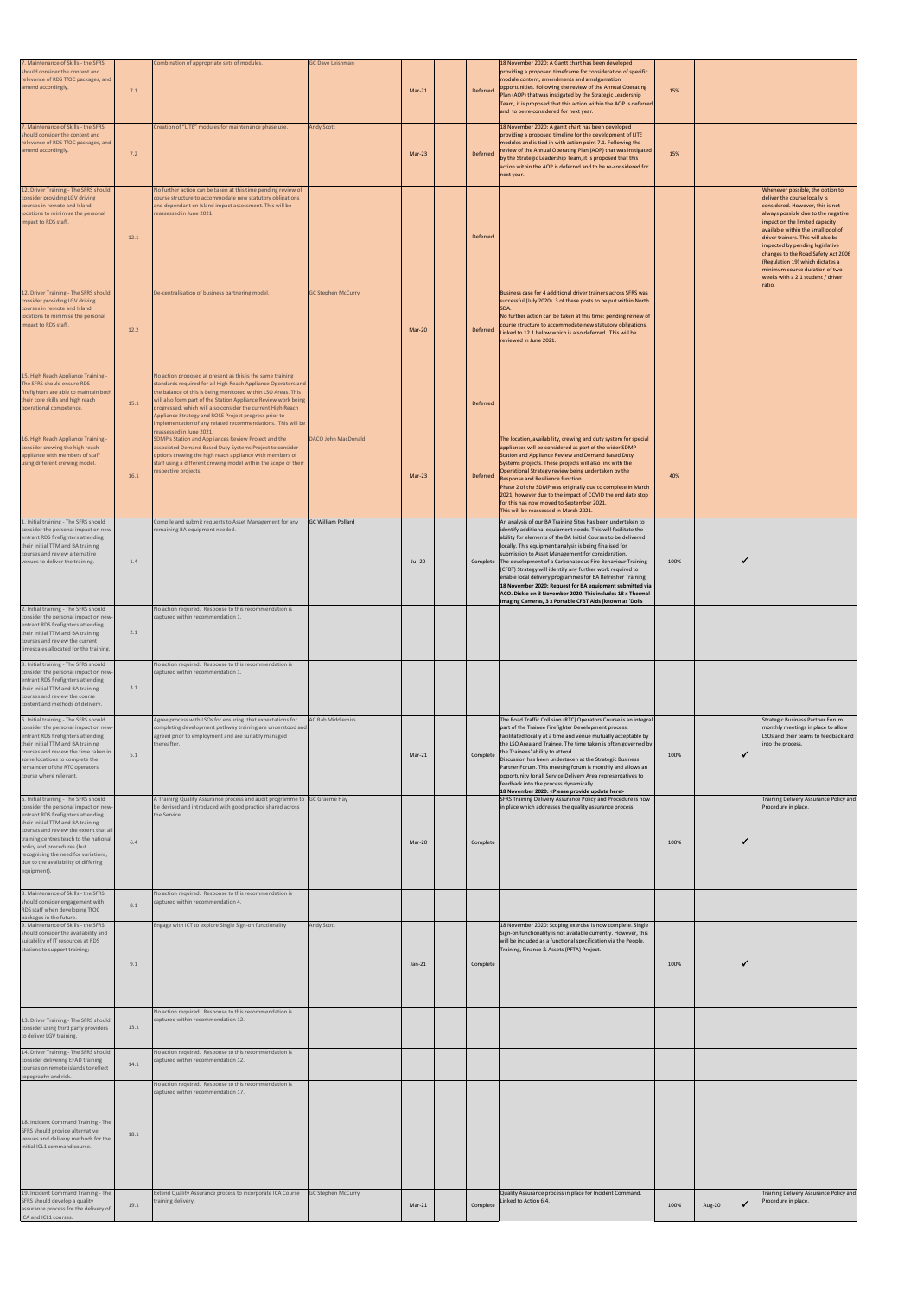| 7. Maintenance of Skills - the SFRS<br>should consider the content and<br>relevance of RDS TfOC packages, and<br>amend accordingly.                                                                                                                                                                                                                                       | 7.1  | Combination of appropriate sets of modules.                                                                                                                                                                                                                                                                                                                                                                                                                                      | <b>GC Dave Leishman</b>    | $Mar-21$ | Deferred | 18 November 2020: A Gantt chart has been developed<br>providing a proposed timeframe for consideration of specific<br>module content, amendments and amalgamation<br>opportunities. Following the review of the Annual Operating<br>Plan (AOP) that was instigated by the Strategic Leadership<br>Team, it is proposed that this action within the AOP is deferred<br>and to be re-considered for next year.                                                                                                                                                                                                                                | 15%  |        |              |                                                                                                                                                                                                                                                                                                                                                                                                                                                          |
|---------------------------------------------------------------------------------------------------------------------------------------------------------------------------------------------------------------------------------------------------------------------------------------------------------------------------------------------------------------------------|------|----------------------------------------------------------------------------------------------------------------------------------------------------------------------------------------------------------------------------------------------------------------------------------------------------------------------------------------------------------------------------------------------------------------------------------------------------------------------------------|----------------------------|----------|----------|---------------------------------------------------------------------------------------------------------------------------------------------------------------------------------------------------------------------------------------------------------------------------------------------------------------------------------------------------------------------------------------------------------------------------------------------------------------------------------------------------------------------------------------------------------------------------------------------------------------------------------------------|------|--------|--------------|----------------------------------------------------------------------------------------------------------------------------------------------------------------------------------------------------------------------------------------------------------------------------------------------------------------------------------------------------------------------------------------------------------------------------------------------------------|
| 7. Maintenance of Skills - the SFRS<br>should consider the content and<br>relevance of RDS TfOC packages, and<br>amend accordingly.                                                                                                                                                                                                                                       | 7.2  | Creation of "LITE" modules for maintenance phase use.                                                                                                                                                                                                                                                                                                                                                                                                                            | <b>Andy Scott</b>          | Mar-23   | Deferred | 18 November 2020: A gantt chart has been developed<br>providing a proposed timeline for the development of LITE<br>modules and is tied in with action point 7.1. Following the<br>review of the Annual Operating Plan (AOP) that was instigated<br>by the Strategic Leadership Team, it is proposed that this<br>action within the AOP is deferred and to be re-considered for<br>next year.                                                                                                                                                                                                                                                | 15%  |        |              |                                                                                                                                                                                                                                                                                                                                                                                                                                                          |
| 12. Driver Training - The SFRS should<br>consider providing LGV driving<br>courses in remote and Island<br>locations to minimise the personal<br>impact to RDS staff.                                                                                                                                                                                                     | 12.1 | No further action can be taken at this time pending review of<br>course structure to accommodate new statutory obligations<br>and dependant on Island impact assessment. This will be<br>reassessed in June 2021.                                                                                                                                                                                                                                                                |                            |          | Deferred |                                                                                                                                                                                                                                                                                                                                                                                                                                                                                                                                                                                                                                             |      |        |              | Whenever possible, the option to<br>deliver the course locally is<br>considered. However, this is not<br>always possible due to the negative<br>impact on the limited capacity<br>available within the small pool of<br>driver trainers. This will also be<br>impacted by pending legislative<br>changes to the Road Safety Act 2006<br>(Regulation 19) which dictates a<br>minimum course duration of two<br>weeks with a 2:1 student / driver<br>ratio |
| 12. Driver Training - The SFRS should<br>consider providing LGV driving<br>courses in remote and Island<br>locations to minimise the personal<br>impact to RDS staff.                                                                                                                                                                                                     | 12.2 | De-centralisation of business partnering model.                                                                                                                                                                                                                                                                                                                                                                                                                                  | <b>GC Stephen McCurry</b>  | Mar-20   | Deferred | Business case for 4 additional driver trainers across SFRS was<br>successful (July 2020). 3 of these posts to be put within North<br>No further action can be taken at this time: pending review of<br>course structure to accommodate new statutory obligations.<br>Linked to 12.1 below which is also deferred. This will be<br>reviewed in June 2021.                                                                                                                                                                                                                                                                                    |      |        |              |                                                                                                                                                                                                                                                                                                                                                                                                                                                          |
| 15. High Reach Appliance Training -<br>The SFRS should ensure RDS<br>firefighters are able to maintain both<br>their core skills and high reach<br>operational competence.                                                                                                                                                                                                | 15.1 | No action proposed at present as this is the same training<br>standards required for all High Reach Appliance Operators and<br>the balance of this is being monitored within LSO Areas. This<br>will also form part of the Station Appliance Review work being<br>progressed, which will also consider the current High Reach<br>Appliance Strategy and ROSE Project progress prior to<br>implementation of any related recommendations. This will be<br>eassessed in June 2021. |                            |          | Deferred |                                                                                                                                                                                                                                                                                                                                                                                                                                                                                                                                                                                                                                             |      |        |              |                                                                                                                                                                                                                                                                                                                                                                                                                                                          |
| 16. High Reach Appliance Training<br>consider crewing the high reach<br>appliance with members of staff<br>using different crewing model.                                                                                                                                                                                                                                 | 16.1 | SDMP's Station and Appliances Review Project and the<br>associated Demand Based Duty Systems Project to consider<br>options crewing the high reach appliance with members of<br>staff using a different crewing model within the scope of their<br>respective projects.                                                                                                                                                                                                          | <b>DACO John MacDonald</b> | Mar-23   | Deferred | The location, availability, crewing and duty system for special<br>appliances will be considered as part of the wider SDMP<br>Station and Appliance Review and Demand Based Duty<br>Systems projects. These projects will also link with the<br>Operational Strategy review being undertaken by the<br>Response and Resilience function.<br>Phase 2 of the SDMP was originally due to complete in March<br>2021, however due to the impact of COVID the end date stop<br>for this has now moved to September 2021.<br>This will be reassessed in March 2021.                                                                                | 40%  |        |              |                                                                                                                                                                                                                                                                                                                                                                                                                                                          |
| 1. Initial training - The SFRS should<br>consider the personal impact on new-<br>entrant RDS firefighters attending<br>their initial TTM and BA training<br>courses and review alternative<br>venues to deliver the training.                                                                                                                                             | 1.4  | Compile and submit requests to Asset Management for any<br>remaining BA equipment needed.                                                                                                                                                                                                                                                                                                                                                                                        | <b>GC William Pollard</b>  | Jul-20   |          | An analysis of our BA Training Sites has been undertaken to<br>identify additional equipment needs. This will facilitate the<br>ability for elements of the BA Initial Courses to be delivered<br>locally. This equipment analysis is being finalised for<br>submission to Asset Management for consideration.<br>Complete The development of a Carbonaceous Fire Behaviour Training<br>(CFBT) Strategy will identify any further work required to<br>enable local delivery programmes for BA Refresher Training.<br>18 November 2020: Request for BA equipment submitted via<br>ACO. Dickie on 3 November 2020. This includes 18 x Thermal | 100% |        |              |                                                                                                                                                                                                                                                                                                                                                                                                                                                          |
| 2. Initial training - The SFRS should<br>consider the personal impact on new-<br>entrant RDS firefighters attending<br>their initial TTM and BA training<br>courses and review the current<br>timescales allocated for the training.                                                                                                                                      | 2.1  | No action required. Response to this recommendation is<br>captured within recommendation 1.                                                                                                                                                                                                                                                                                                                                                                                      |                            |          |          | Imaging Cameras, 3 x Portable CFBT Aids (known as 'Dolls                                                                                                                                                                                                                                                                                                                                                                                                                                                                                                                                                                                    |      |        |              |                                                                                                                                                                                                                                                                                                                                                                                                                                                          |
| 3. Initial training - The SFRS should<br>consider the personal impact on new-<br>entrant RDS firefighters attending<br>their initial TTM and BA training<br>courses and review the course<br>content and methods of delivery.                                                                                                                                             | 3.1  | No action required. Response to this recommendation is<br>captured within recommendation 1.                                                                                                                                                                                                                                                                                                                                                                                      |                            |          |          |                                                                                                                                                                                                                                                                                                                                                                                                                                                                                                                                                                                                                                             |      |        |              |                                                                                                                                                                                                                                                                                                                                                                                                                                                          |
| 5. Initial training - The SFRS should<br>consider the personal impact on new-<br>entrant RDS firefighters attending<br>their initial TTM and BA training<br>courses and review the time taken in<br>some locations to complete the<br>remainder of the RTC operators'<br>course where relevant.                                                                           | 5.1  | Agree process with LSOs for ensuring that expectations for<br>completing development pathway training are understood and<br>agreed prior to employment and are suitably managed<br>thereafter.                                                                                                                                                                                                                                                                                   | AC Rab Middlemiss          | Mar-21   | Complete | The Road Traffic Collision (RTC) Operators Course is an integral<br>part of the Trainee Firefighter Development process,<br>facilitated locally at a time and venue mutually acceptable by<br>the LSO Area and Trainee. The time taken is often governed by<br>the Trainees' ability to attend.<br>Discussion has been undertaken at the Strategic Business<br>Partner Forum. This meeting forum is monthly and allows an<br>opportunity for all Service Delivery Area representatives to<br>feedback into the process dynamically.<br>18 November 2020: < Please provide update here>                                                      | 100% |        | $\checkmark$ | <b>Strategic Business Partner Forum</b><br>monthly meetings in place to allow<br>LSOs and their teams to feedback and<br>into the process.                                                                                                                                                                                                                                                                                                               |
| 6. Initial training - The SFRS should<br>consider the personal impact on new-<br>entrant RDS firefighters attending<br>their initial TTM and BA training<br>courses and review the extent that all<br>training centres teach to the national<br>policy and procedures (but<br>recognising the need for variations,<br>due to the availability of differing<br>equipment). | 6.4  | A Training Quality Assurance process and audit programme to GC Graeme Hay<br>be devised and introduced with good practice shared across<br>the Service.                                                                                                                                                                                                                                                                                                                          |                            | Mar-20   | Complete | SFRS Training Delivery Assurance Policy and Procedure is now<br>in place which addresses the quality assurance process.                                                                                                                                                                                                                                                                                                                                                                                                                                                                                                                     | 100% |        | $\checkmark$ | Training Delivery Assurance Policy and<br>Procedure in place.                                                                                                                                                                                                                                                                                                                                                                                            |
| 8. Maintenance of Skills - the SFRS<br>should consider engagement with<br>RDS staff when developing TfOC<br>packages in the future.                                                                                                                                                                                                                                       | 8.1  | No action required. Response to this recommendation is<br>captured within recommendation 4.                                                                                                                                                                                                                                                                                                                                                                                      |                            |          |          |                                                                                                                                                                                                                                                                                                                                                                                                                                                                                                                                                                                                                                             |      |        |              |                                                                                                                                                                                                                                                                                                                                                                                                                                                          |
| 9. Maintenance of Skills - the SFRS<br>should consider the availability and<br>suitability of IT resources at RDS<br>stations to support training;                                                                                                                                                                                                                        | 9.1  | Engage with ICT to explore Single Sign-on functionality                                                                                                                                                                                                                                                                                                                                                                                                                          | Andy Scott                 | $Jan-21$ | Complete | 18 November 2020: Scoping exercise is now complete. Single<br>Sign-on functionality is not available currently. However, this<br>will be included as a functional specification via the People,<br>Training, Finance & Assets (PFTA) Project.                                                                                                                                                                                                                                                                                                                                                                                               | 100% |        | $\checkmark$ |                                                                                                                                                                                                                                                                                                                                                                                                                                                          |
| 13. Driver Training - The SFRS should<br>consider using third party providers<br>to deliver LGV training.                                                                                                                                                                                                                                                                 | 13.1 | No action required. Response to this recommendation is<br>captured within recommendation 12.                                                                                                                                                                                                                                                                                                                                                                                     |                            |          |          |                                                                                                                                                                                                                                                                                                                                                                                                                                                                                                                                                                                                                                             |      |        |              |                                                                                                                                                                                                                                                                                                                                                                                                                                                          |
| 14. Driver Training - The SFRS should<br>consider delivering EFAD training<br>courses on remote islands to reflect<br>topography and risk.                                                                                                                                                                                                                                | 14.1 | No action required. Response to this recommendation is<br>captured within recommendation 12.                                                                                                                                                                                                                                                                                                                                                                                     |                            |          |          |                                                                                                                                                                                                                                                                                                                                                                                                                                                                                                                                                                                                                                             |      |        |              |                                                                                                                                                                                                                                                                                                                                                                                                                                                          |
| 18. Incident Command Training - The<br>SFRS should provide alternative<br>venues and delivery methods for the<br>initial ICL1 command course.                                                                                                                                                                                                                             | 18.1 | No action required. Response to this recommendation is<br>captured within recommendation 17.                                                                                                                                                                                                                                                                                                                                                                                     |                            |          |          |                                                                                                                                                                                                                                                                                                                                                                                                                                                                                                                                                                                                                                             |      |        |              |                                                                                                                                                                                                                                                                                                                                                                                                                                                          |
| 19. Incident Command Training - The<br>SFRS should develop a quality<br>assurance process for the delivery of<br>ICA and ICL1 courses.                                                                                                                                                                                                                                    | 19.1 | Extend Quality Assurance process to incorporate ICA Course<br>training delivery.                                                                                                                                                                                                                                                                                                                                                                                                 | GC Stephen McCurry         | $Mar-21$ | Complete | Quality Assurance process in place for Incident Command.<br>Linked to Action 6.4.                                                                                                                                                                                                                                                                                                                                                                                                                                                                                                                                                           | 100% | Aug-20 | $\checkmark$ | Training Delivery Assurance Policy and<br>Procedure in place.                                                                                                                                                                                                                                                                                                                                                                                            |